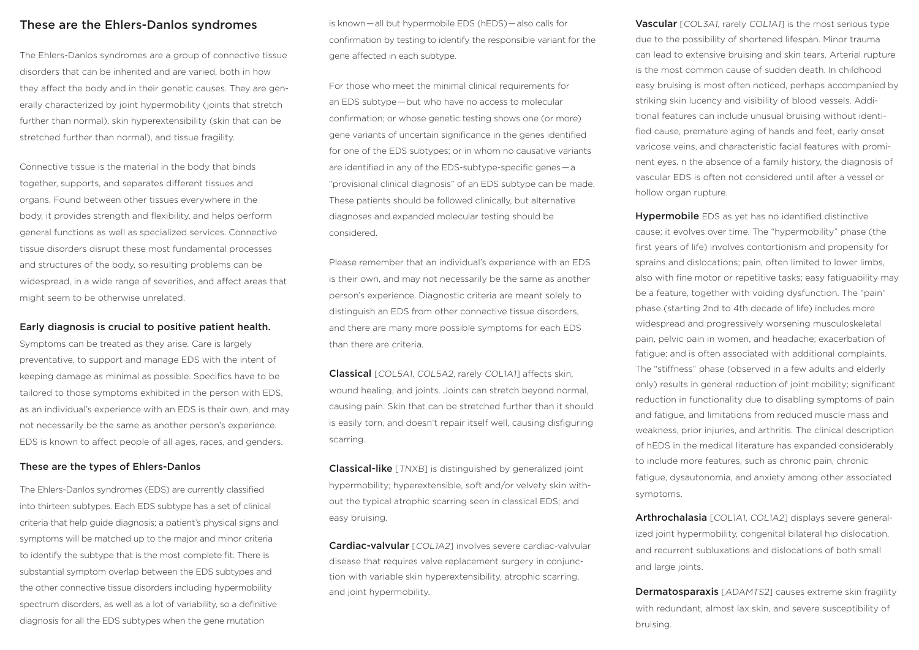### These are the Ehlers-Danlos syndromes

The Ehlers-Danlos syndromes are a group of connective tissue disorders that can be inherited and are varied, both in how they affect the body and in their genetic causes. They are generally characterized by joint hypermobility (joints that stretch further than normal), skin hyperextensibility (skin that can be stretched further than normal), and tissue fragility.

Connective tissue is the material in the body that binds together, supports, and separates different tissues and organs. Found between other tissues everywhere in the body, it provides strength and flexibility, and helps perform general functions as well as specialized services. Connective tissue disorders disrupt these most fundamental processes and structures of the body, so resulting problems can be widespread, in a wide range of severities, and affect areas that might seem to be otherwise unrelated.

### Early diagnosis is crucial to positive patient health.

Symptoms can be treated as they arise. Care is largely preventative, to support and manage EDS with the intent of keeping damage as minimal as possible. Specifics have to be tailored to those symptoms exhibited in the person with EDS, as an individual's experience with an EDS is their own, and may not necessarily be the same as another person's experience. EDS is known to affect people of all ages, races, and genders.

### These are the types of Ehlers-Danlos

The Ehlers-Danlos syndromes (EDS) are currently classified into thirteen subtypes. Each EDS subtype has a set of clinical criteria that help guide diagnosis; a patient's physical signs and symptoms will be matched up to the major and minor criteria to identify the subtype that is the most complete fit. There is substantial symptom overlap between the EDS subtypes and the other connective tissue disorders including hypermobility spectrum disorders, as well as a lot of variability, so a definitive diagnosis for all the EDS subtypes when the gene mutation

is known — all but hypermobile EDS (hEDS) — also calls for confirmation by testing to identify the responsible variant for the gene affected in each subtype.

For those who meet the minimal clinical requirements for an EDS subtype — but who have no access to molecular confirmation; or whose genetic testing shows one (or more) gene variants of uncertain significance in the genes identified for one of the EDS subtypes; or in whom no causative variants are identified in any of the EDS-subtype-specific genes — a "provisional clinical diagnosis" of an EDS subtype can be made. These patients should be followed clinically, but alternative diagnoses and expanded molecular testing should be considered.

Please remember that an individual's experience with an EDS is their own, and may not necessarily be the same as another person's experience. Diagnostic criteria are meant solely to distinguish an EDS from other connective tissue disorders, and there are many more possible symptoms for each EDS than there are criteria.

Classical [COL5A1, COL5A2, rarely COL1A1] affects skin, wound healing, and joints. Joints can stretch beyond normal, causing pain. Skin that can be stretched further than it should is easily torn, and doesn't repair itself well, causing disfiguring scarring.

**Classical-like** [TNXB] is distinguished by generalized joint hypermobility; hyperextensible, soft and/or velvety skin without the typical atrophic scarring seen in classical EDS; and easy bruising.

Cardiac-valvular [COL1A2] involves severe cardiac-valvular disease that requires valve replacement surgery in conjunction with variable skin hyperextensibility, atrophic scarring, and joint hypermobility.

Vascular [COL3A1, rarely COL1A1] is the most serious type due to the possibility of shortened lifespan. Minor trauma can lead to extensive bruising and skin tears. Arterial rupture is the most common cause of sudden death. In childhood easy bruising is most often noticed, perhaps accompanied by striking skin lucency and visibility of blood vessels. Additional features can include unusual bruising without identified cause, premature aging of hands and feet, early onset varicose veins, and characteristic facial features with prominent eyes. n the absence of a family history, the diagnosis of vascular EDS is often not considered until after a vessel or hollow organ rupture.

Hypermobile EDS as yet has no identified distinctive cause; it evolves over time. The "hypermobility" phase (the first years of life) involves contortionism and propensity for sprains and dislocations; pain, often limited to lower limbs, also with fine motor or repetitive tasks; easy fatiguability may be a feature, together with voiding dysfunction. The "pain" phase (starting 2nd to 4th decade of life) includes more widespread and progressively worsening musculoskeletal pain, pelvic pain in women, and headache; exacerbation of fatigue; and is often associated with additional complaints. The "stiffness" phase (observed in a few adults and elderly only) results in general reduction of joint mobility; significant reduction in functionality due to disabling symptoms of pain and fatigue, and limitations from reduced muscle mass and weakness, prior injuries, and arthritis. The clinical description of hEDS in the medical literature has expanded considerably to include more features, such as chronic pain, chronic fatigue, dysautonomia, and anxiety among other associated symptoms.

Arthrochalasia [COL1A1, COL1A2] displays severe generalized joint hypermobility, congenital bilateral hip dislocation, and recurrent subluxations and dislocations of both small and large joints.

**Dermatosparaxis** [ADAMTS2] causes extreme skin fragility with redundant, almost lax skin, and severe susceptibility of bruising.